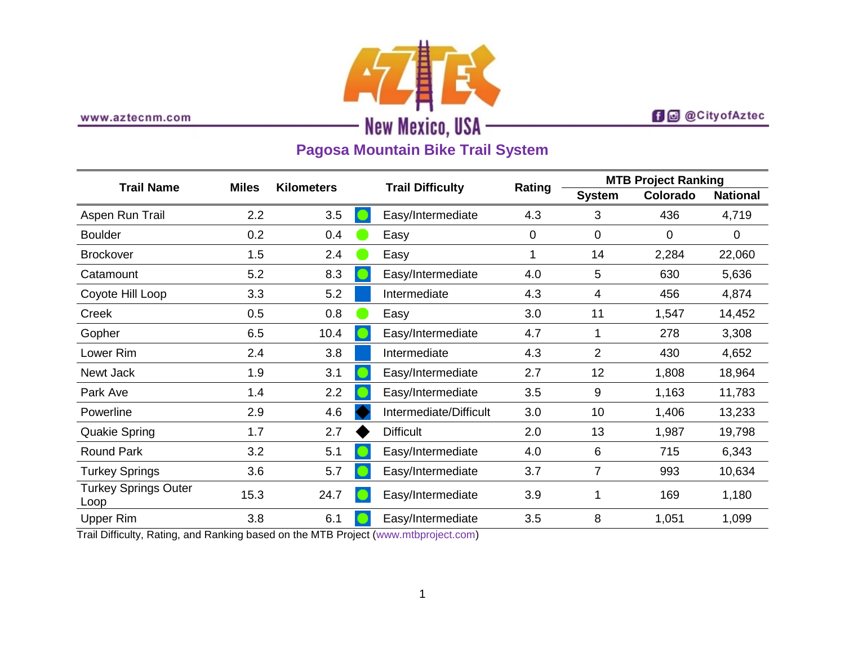

www.aztecnm.com

## **f d** @CityofAztec

# **Pagosa Mountain Bike Trail System**

| <b>Trail Name</b>                   | <b>Miles</b> | <b>Kilometers</b> | <b>Trail Difficulty</b> | Rating | <b>MTB Project Ranking</b> |          |                 |
|-------------------------------------|--------------|-------------------|-------------------------|--------|----------------------------|----------|-----------------|
|                                     |              |                   |                         |        | <b>System</b>              | Colorado | <b>National</b> |
| Aspen Run Trail                     | 2.2          | 3.5               | Easy/Intermediate       | 4.3    | 3                          | 436      | 4,719           |
| <b>Boulder</b>                      | 0.2          | 0.4               | Easy                    | 0      | $\mathbf 0$                | 0        | 0               |
| <b>Brockover</b>                    | 1.5          | 2.4               | Easy                    |        | 14                         | 2,284    | 22,060          |
| Catamount                           | 5.2          | 8.3               | Easy/Intermediate       | 4.0    | 5                          | 630      | 5,636           |
| Coyote Hill Loop                    | 3.3          | 5.2               | Intermediate            | 4.3    | 4                          | 456      | 4,874           |
| Creek                               | 0.5          | 0.8               | Easy                    | 3.0    | 11                         | 1,547    | 14,452          |
| Gopher                              | 6.5          | 10.4              | Easy/Intermediate       | 4.7    | 1                          | 278      | 3,308           |
| Lower Rim                           | 2.4          | 3.8               | Intermediate            | 4.3    | $\overline{2}$             | 430      | 4,652           |
| Newt Jack                           | 1.9          | 3.1               | Easy/Intermediate       | 2.7    | 12                         | 1,808    | 18,964          |
| Park Ave                            | 1.4          | 2.2               | Easy/Intermediate       | 3.5    | 9                          | 1,163    | 11,783          |
| Powerline                           | 2.9          | 4.6               | Intermediate/Difficult  | 3.0    | 10                         | 1,406    | 13,233          |
| <b>Quakie Spring</b>                | 1.7          | 2.7               | <b>Difficult</b>        | 2.0    | 13                         | 1,987    | 19,798          |
| <b>Round Park</b>                   | 3.2          | 5.1               | Easy/Intermediate       | 4.0    | 6                          | 715      | 6,343           |
| <b>Turkey Springs</b>               | 3.6          | 5.7               | Easy/Intermediate       | 3.7    | $\overline{7}$             | 993      | 10,634          |
| <b>Turkey Springs Outer</b><br>Loop | 15.3         | 24.7              | Easy/Intermediate       | 3.9    | 1                          | 169      | 1,180           |
| <b>Upper Rim</b>                    | 3.8          | 6.1               | Easy/Intermediate       | 3.5    | 8                          | 1,051    | 1,099           |

Trail Difficulty, Rating, and Ranking based on the MTB Project [\(www.mtbproject.com\)](http://www.mtbproject.com/)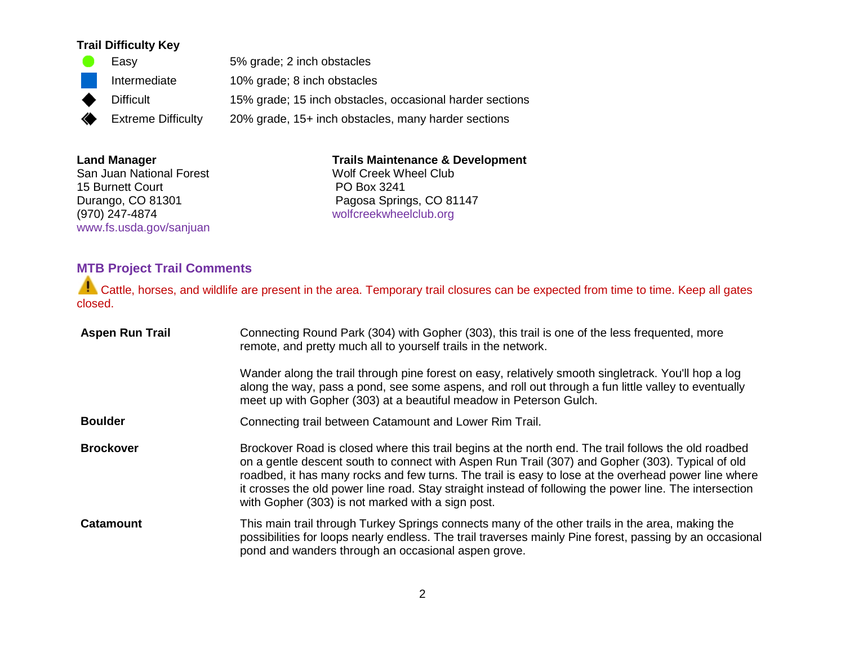### **Trail Difficulty Key**

|   | Easy                      | 5% grade; 2 inch obstacles                               |
|---|---------------------------|----------------------------------------------------------|
|   | Intermediate              | 10% grade; 8 inch obstacles                              |
| ♦ | <b>Difficult</b>          | 15% grade; 15 inch obstacles, occasional harder sections |
| ◈ | <b>Extreme Difficulty</b> | 20% grade, 15+ inch obstacles, many harder sections      |

#### **Land Manager**

San Juan National Forest 15 Burnett Court Durango, CO 81301 (970) 247-4874 [www.fs.usda.gov/sanjuan](http://www.fs.usda.gov/sanjuan)

#### **Trails Maintenance & Development**

Wolf Creek Wheel Club PO Box 3241 Pagosa Springs, CO 81147 [wolfcreekwheelclub.org](http://wolfcreekwheelclub.org/)

## **MTB Project Trail Comments**

Cattle, horses, and wildlife are present in the area. Temporary trail closures can be expected from time to time. Keep all gates closed.

| <b>Aspen Run Trail</b> | Connecting Round Park (304) with Gopher (303), this trail is one of the less frequented, more<br>remote, and pretty much all to yourself trails in the network.                                                                                                                                                                                                                                                                                                                  |  |  |
|------------------------|----------------------------------------------------------------------------------------------------------------------------------------------------------------------------------------------------------------------------------------------------------------------------------------------------------------------------------------------------------------------------------------------------------------------------------------------------------------------------------|--|--|
|                        | Wander along the trail through pine forest on easy, relatively smooth singletrack. You'll hop a log<br>along the way, pass a pond, see some aspens, and roll out through a fun little valley to eventually<br>meet up with Gopher (303) at a beautiful meadow in Peterson Gulch.                                                                                                                                                                                                 |  |  |
| <b>Boulder</b>         | Connecting trail between Catamount and Lower Rim Trail.                                                                                                                                                                                                                                                                                                                                                                                                                          |  |  |
| <b>Brockover</b>       | Brockover Road is closed where this trail begins at the north end. The trail follows the old roadbed<br>on a gentle descent south to connect with Aspen Run Trail (307) and Gopher (303). Typical of old<br>roadbed, it has many rocks and few turns. The trail is easy to lose at the overhead power line where<br>it crosses the old power line road. Stay straight instead of following the power line. The intersection<br>with Gopher (303) is not marked with a sign post. |  |  |
| <b>Catamount</b>       | This main trail through Turkey Springs connects many of the other trails in the area, making the<br>possibilities for loops nearly endless. The trail traverses mainly Pine forest, passing by an occasional<br>pond and wanders through an occasional aspen grove.                                                                                                                                                                                                              |  |  |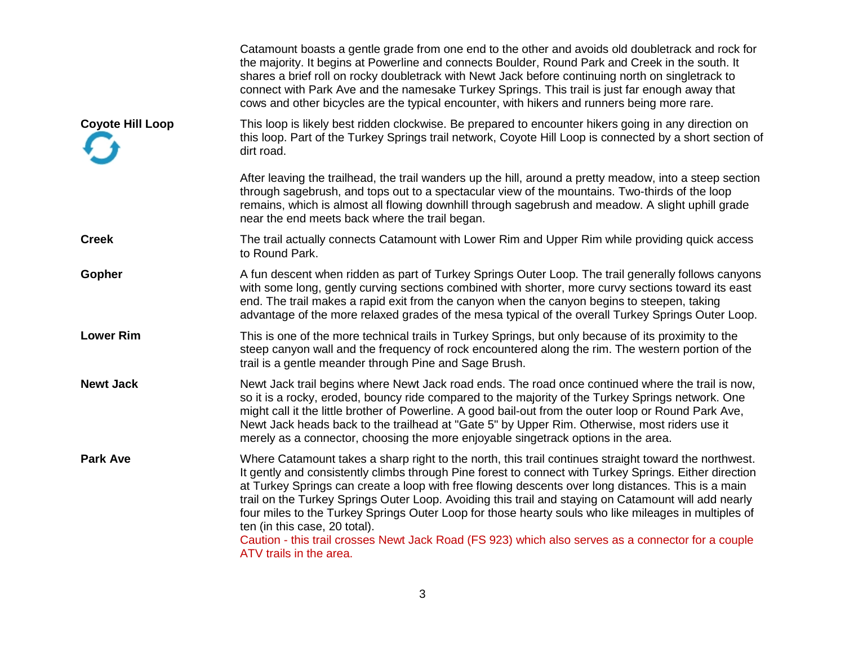|                         | Catamount boasts a gentle grade from one end to the other and avoids old doubletrack and rock for<br>the majority. It begins at Powerline and connects Boulder, Round Park and Creek in the south. It<br>shares a brief roll on rocky doubletrack with Newt Jack before continuing north on singletrack to<br>connect with Park Ave and the namesake Turkey Springs. This trail is just far enough away that<br>cows and other bicycles are the typical encounter, with hikers and runners being more rare.                                                                                                                                                                                             |
|-------------------------|---------------------------------------------------------------------------------------------------------------------------------------------------------------------------------------------------------------------------------------------------------------------------------------------------------------------------------------------------------------------------------------------------------------------------------------------------------------------------------------------------------------------------------------------------------------------------------------------------------------------------------------------------------------------------------------------------------|
| <b>Coyote Hill Loop</b> | This loop is likely best ridden clockwise. Be prepared to encounter hikers going in any direction on<br>this loop. Part of the Turkey Springs trail network, Coyote Hill Loop is connected by a short section of<br>dirt road.                                                                                                                                                                                                                                                                                                                                                                                                                                                                          |
|                         | After leaving the trailhead, the trail wanders up the hill, around a pretty meadow, into a steep section<br>through sagebrush, and tops out to a spectacular view of the mountains. Two-thirds of the loop<br>remains, which is almost all flowing downhill through sagebrush and meadow. A slight uphill grade<br>near the end meets back where the trail began.                                                                                                                                                                                                                                                                                                                                       |
| <b>Creek</b>            | The trail actually connects Catamount with Lower Rim and Upper Rim while providing quick access<br>to Round Park.                                                                                                                                                                                                                                                                                                                                                                                                                                                                                                                                                                                       |
| <b>Gopher</b>           | A fun descent when ridden as part of Turkey Springs Outer Loop. The trail generally follows canyons<br>with some long, gently curving sections combined with shorter, more curvy sections toward its east<br>end. The trail makes a rapid exit from the canyon when the canyon begins to steepen, taking<br>advantage of the more relaxed grades of the mesa typical of the overall Turkey Springs Outer Loop.                                                                                                                                                                                                                                                                                          |
| <b>Lower Rim</b>        | This is one of the more technical trails in Turkey Springs, but only because of its proximity to the<br>steep canyon wall and the frequency of rock encountered along the rim. The western portion of the<br>trail is a gentle meander through Pine and Sage Brush.                                                                                                                                                                                                                                                                                                                                                                                                                                     |
| <b>Newt Jack</b>        | Newt Jack trail begins where Newt Jack road ends. The road once continued where the trail is now,<br>so it is a rocky, eroded, bouncy ride compared to the majority of the Turkey Springs network. One<br>might call it the little brother of Powerline. A good bail-out from the outer loop or Round Park Ave,<br>Newt Jack heads back to the trailhead at "Gate 5" by Upper Rim. Otherwise, most riders use it<br>merely as a connector, choosing the more enjoyable singetrack options in the area.                                                                                                                                                                                                  |
| <b>Park Ave</b>         | Where Catamount takes a sharp right to the north, this trail continues straight toward the northwest.<br>It gently and consistently climbs through Pine forest to connect with Turkey Springs. Either direction<br>at Turkey Springs can create a loop with free flowing descents over long distances. This is a main<br>trail on the Turkey Springs Outer Loop. Avoiding this trail and staying on Catamount will add nearly<br>four miles to the Turkey Springs Outer Loop for those hearty souls who like mileages in multiples of<br>ten (in this case, 20 total).<br>Caution - this trail crosses Newt Jack Road (FS 923) which also serves as a connector for a couple<br>ATV trails in the area. |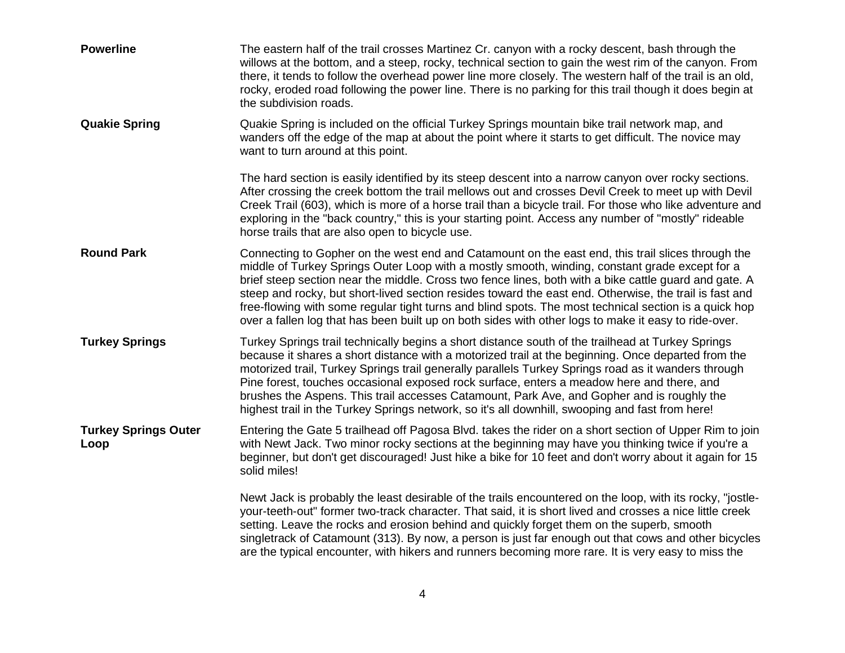| <b>Powerline</b>                    | The eastern half of the trail crosses Martinez Cr. canyon with a rocky descent, bash through the<br>willows at the bottom, and a steep, rocky, technical section to gain the west rim of the canyon. From<br>there, it tends to follow the overhead power line more closely. The western half of the trail is an old,<br>rocky, eroded road following the power line. There is no parking for this trail though it does begin at<br>the subdivision roads.                                                                                                                                                                              |
|-------------------------------------|-----------------------------------------------------------------------------------------------------------------------------------------------------------------------------------------------------------------------------------------------------------------------------------------------------------------------------------------------------------------------------------------------------------------------------------------------------------------------------------------------------------------------------------------------------------------------------------------------------------------------------------------|
| <b>Quakie Spring</b>                | Quakie Spring is included on the official Turkey Springs mountain bike trail network map, and<br>wanders off the edge of the map at about the point where it starts to get difficult. The novice may<br>want to turn around at this point.                                                                                                                                                                                                                                                                                                                                                                                              |
|                                     | The hard section is easily identified by its steep descent into a narrow canyon over rocky sections.<br>After crossing the creek bottom the trail mellows out and crosses Devil Creek to meet up with Devil<br>Creek Trail (603), which is more of a horse trail than a bicycle trail. For those who like adventure and<br>exploring in the "back country," this is your starting point. Access any number of "mostly" rideable<br>horse trails that are also open to bicycle use.                                                                                                                                                      |
| <b>Round Park</b>                   | Connecting to Gopher on the west end and Catamount on the east end, this trail slices through the<br>middle of Turkey Springs Outer Loop with a mostly smooth, winding, constant grade except for a<br>brief steep section near the middle. Cross two fence lines, both with a bike cattle guard and gate. A<br>steep and rocky, but short-lived section resides toward the east end. Otherwise, the trail is fast and<br>free-flowing with some regular tight turns and blind spots. The most technical section is a quick hop<br>over a fallen log that has been built up on both sides with other logs to make it easy to ride-over. |
| <b>Turkey Springs</b>               | Turkey Springs trail technically begins a short distance south of the trailhead at Turkey Springs<br>because it shares a short distance with a motorized trail at the beginning. Once departed from the<br>motorized trail, Turkey Springs trail generally parallels Turkey Springs road as it wanders through<br>Pine forest, touches occasional exposed rock surface, enters a meadow here and there, and<br>brushes the Aspens. This trail accesses Catamount, Park Ave, and Gopher and is roughly the<br>highest trail in the Turkey Springs network, so it's all downhill, swooping and fast from here!                            |
| <b>Turkey Springs Outer</b><br>Loop | Entering the Gate 5 trailhead off Pagosa Blvd. takes the rider on a short section of Upper Rim to join<br>with Newt Jack. Two minor rocky sections at the beginning may have you thinking twice if you're a<br>beginner, but don't get discouraged! Just hike a bike for 10 feet and don't worry about it again for 15<br>solid miles!                                                                                                                                                                                                                                                                                                  |
|                                     | Newt Jack is probably the least desirable of the trails encountered on the loop, with its rocky, "jostle-<br>your-teeth-out" former two-track character. That said, it is short lived and crosses a nice little creek<br>setting. Leave the rocks and erosion behind and quickly forget them on the superb, smooth<br>singletrack of Catamount (313). By now, a person is just far enough out that cows and other bicycles<br>are the typical encounter, with hikers and runners becoming more rare. It is very easy to miss the                                                                                                        |